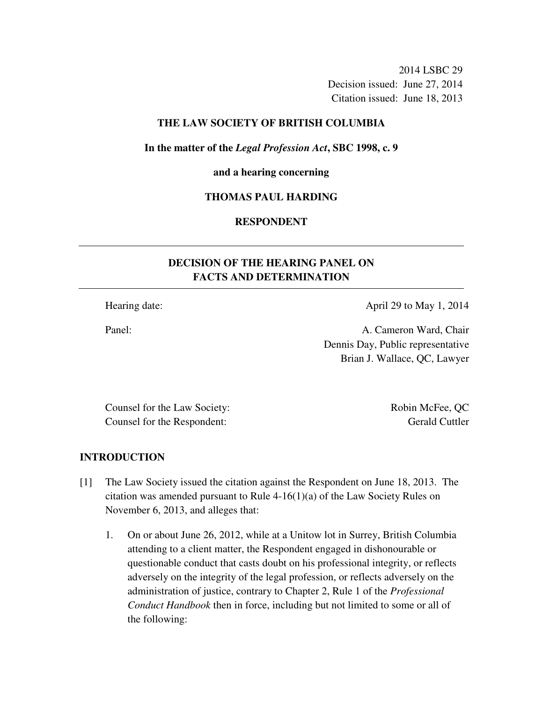2014 LSBC 29 Decision issued: June 27, 2014 Citation issued: June 18, 2013

## **THE LAW SOCIETY OF BRITISH COLUMBIA**

**In the matter of the** *Legal Profession Act***, SBC 1998, c. 9** 

#### **and a hearing concerning**

### **THOMAS PAUL HARDING**

## **RESPONDENT**

# **DECISION OF THE HEARING PANEL ON FACTS AND DETERMINATION**

Hearing date: April 29 to May 1, 2014

Panel: **A. Cameron Ward, Chair** Dennis Day, Public representative Brian J. Wallace, QC, Lawyer

Counsel for the Law Society: Robin McFee, QC Counsel for the Respondent: Gerald Cuttler

## **INTRODUCTION**

- [1] The Law Society issued the citation against the Respondent on June 18, 2013. The citation was amended pursuant to Rule 4-16(1)(a) of the Law Society Rules on November 6, 2013, and alleges that:
	- 1. On or about June 26, 2012, while at a Unitow lot in Surrey, British Columbia attending to a client matter, the Respondent engaged in dishonourable or questionable conduct that casts doubt on his professional integrity, or reflects adversely on the integrity of the legal profession, or reflects adversely on the administration of justice, contrary to Chapter 2, Rule 1 of the *Professional Conduct Handbook* then in force, including but not limited to some or all of the following: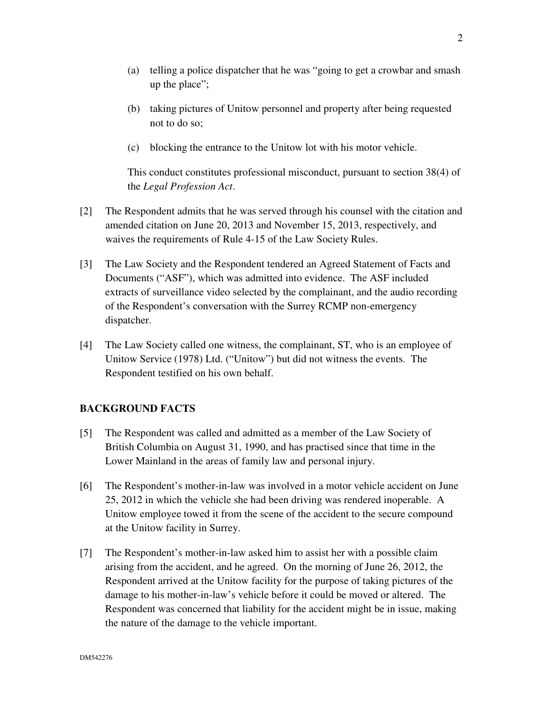- (b) taking pictures of Unitow personnel and property after being requested not to do so;
- (c) blocking the entrance to the Unitow lot with his motor vehicle.

This conduct constitutes professional misconduct, pursuant to section 38(4) of the *Legal Profession Act*.

- [2] The Respondent admits that he was served through his counsel with the citation and amended citation on June 20, 2013 and November 15, 2013, respectively, and waives the requirements of Rule 4-15 of the Law Society Rules.
- [3] The Law Society and the Respondent tendered an Agreed Statement of Facts and Documents ("ASF"), which was admitted into evidence. The ASF included extracts of surveillance video selected by the complainant, and the audio recording of the Respondent's conversation with the Surrey RCMP non-emergency dispatcher.
- [4] The Law Society called one witness, the complainant, ST, who is an employee of Unitow Service (1978) Ltd. ("Unitow") but did not witness the events. The Respondent testified on his own behalf.

## **BACKGROUND FACTS**

- [5] The Respondent was called and admitted as a member of the Law Society of British Columbia on August 31, 1990, and has practised since that time in the Lower Mainland in the areas of family law and personal injury.
- [6] The Respondent's mother-in-law was involved in a motor vehicle accident on June 25, 2012 in which the vehicle she had been driving was rendered inoperable. A Unitow employee towed it from the scene of the accident to the secure compound at the Unitow facility in Surrey.
- [7] The Respondent's mother-in-law asked him to assist her with a possible claim arising from the accident, and he agreed. On the morning of June 26, 2012, the Respondent arrived at the Unitow facility for the purpose of taking pictures of the damage to his mother-in-law's vehicle before it could be moved or altered. The Respondent was concerned that liability for the accident might be in issue, making the nature of the damage to the vehicle important.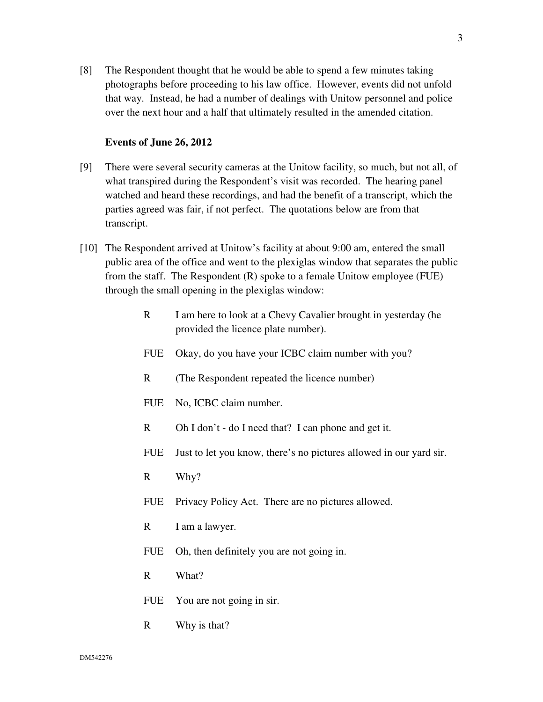[8] The Respondent thought that he would be able to spend a few minutes taking photographs before proceeding to his law office. However, events did not unfold that way. Instead, he had a number of dealings with Unitow personnel and police over the next hour and a half that ultimately resulted in the amended citation.

#### **Events of June 26, 2012**

- [9] There were several security cameras at the Unitow facility, so much, but not all, of what transpired during the Respondent's visit was recorded. The hearing panel watched and heard these recordings, and had the benefit of a transcript, which the parties agreed was fair, if not perfect. The quotations below are from that transcript.
- [10] The Respondent arrived at Unitow's facility at about 9:00 am, entered the small public area of the office and went to the plexiglas window that separates the public from the staff. The Respondent (R) spoke to a female Unitow employee (FUE) through the small opening in the plexiglas window:
	- R I am here to look at a Chevy Cavalier brought in yesterday (he provided the licence plate number).
	- FUE Okay, do you have your ICBC claim number with you?
	- R (The Respondent repeated the licence number)
	- FUE No, ICBC claim number.
	- R Oh I don't do I need that? I can phone and get it.
	- FUE Just to let you know, there's no pictures allowed in our yard sir.
	- R Why?
	- FUE Privacy Policy Act. There are no pictures allowed.
	- R I am a lawyer.
	- FUE Oh, then definitely you are not going in.
	- R What?
	- FUE You are not going in sir.
	- R Why is that?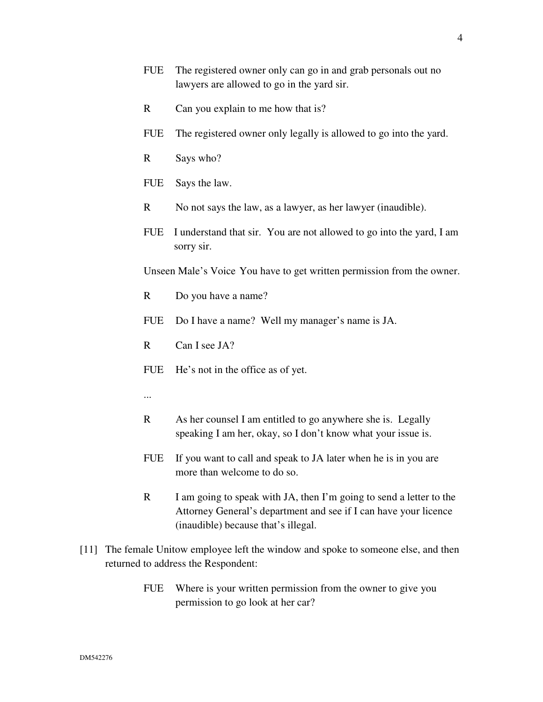- R Can you explain to me how that is?
- FUE The registered owner only legally is allowed to go into the yard.
- R Says who?
- FUE Says the law.
- R No not says the law, as a lawyer, as her lawyer (inaudible).
- FUE I understand that sir. You are not allowed to go into the yard, I am sorry sir.

Unseen Male's Voice You have to get written permission from the owner.

- R Do you have a name?
- FUE Do I have a name? Well my manager's name is JA.
- R Can I see JA?
- FUE He's not in the office as of yet.
- ...
- R As her counsel I am entitled to go anywhere she is. Legally speaking I am her, okay, so I don't know what your issue is.
- FUE If you want to call and speak to JA later when he is in you are more than welcome to do so.
- R I am going to speak with JA, then I'm going to send a letter to the Attorney General's department and see if I can have your licence (inaudible) because that's illegal.
- [11] The female Unitow employee left the window and spoke to someone else, and then returned to address the Respondent:
	- FUE Where is your written permission from the owner to give you permission to go look at her car?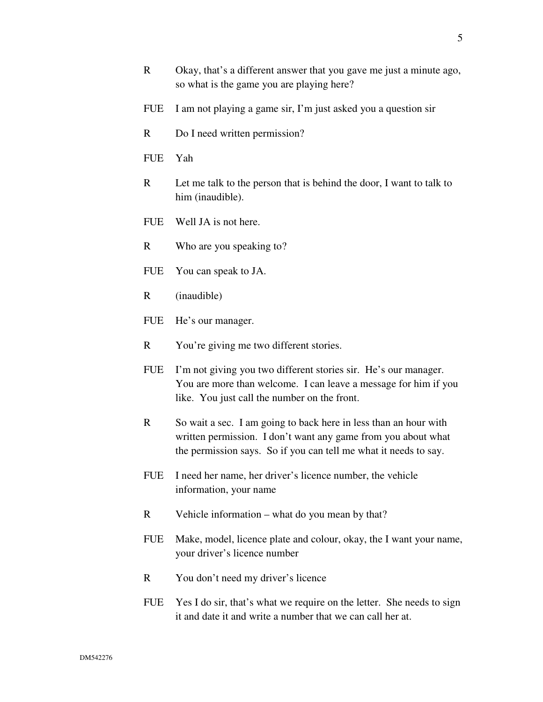- R Okay, that's a different answer that you gave me just a minute ago, so what is the game you are playing here?
- FUE I am not playing a game sir, I'm just asked you a question sir
- R Do I need written permission?
- FUE Yah
- R Let me talk to the person that is behind the door, I want to talk to him (inaudible).
- FUE Well JA is not here.
- R Who are you speaking to?
- FUE You can speak to JA.
- R (inaudible)
- FUE He's our manager.
- R You're giving me two different stories.
- FUE I'm not giving you two different stories sir. He's our manager. You are more than welcome. I can leave a message for him if you like. You just call the number on the front.
- R So wait a sec. I am going to back here in less than an hour with written permission. I don't want any game from you about what the permission says. So if you can tell me what it needs to say.
- FUE I need her name, her driver's licence number, the vehicle information, your name
- R Vehicle information what do you mean by that?
- FUE Make, model, licence plate and colour, okay, the I want your name, your driver's licence number
- R You don't need my driver's licence
- FUE Yes I do sir, that's what we require on the letter. She needs to sign it and date it and write a number that we can call her at.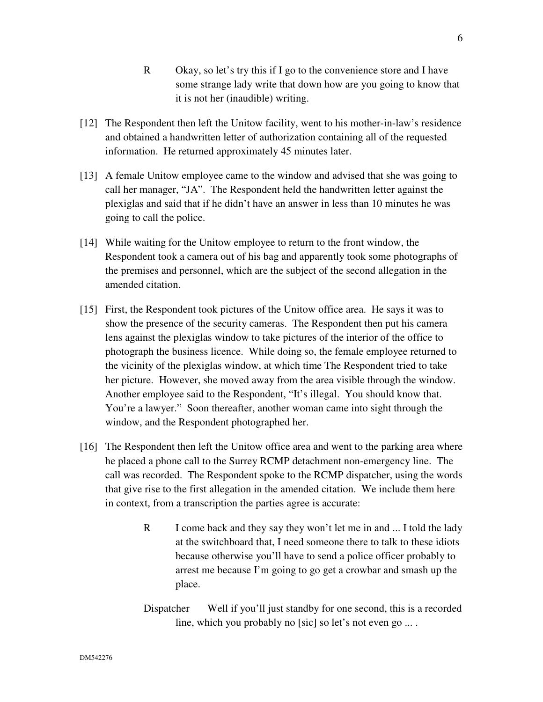- R Okay, so let's try this if I go to the convenience store and I have some strange lady write that down how are you going to know that it is not her (inaudible) writing.
- [12] The Respondent then left the Unitow facility, went to his mother-in-law's residence and obtained a handwritten letter of authorization containing all of the requested information. He returned approximately 45 minutes later.
- [13] A female Unitow employee came to the window and advised that she was going to call her manager, "JA". The Respondent held the handwritten letter against the plexiglas and said that if he didn't have an answer in less than 10 minutes he was going to call the police.
- [14] While waiting for the Unitow employee to return to the front window, the Respondent took a camera out of his bag and apparently took some photographs of the premises and personnel, which are the subject of the second allegation in the amended citation.
- [15] First, the Respondent took pictures of the Unitow office area. He says it was to show the presence of the security cameras. The Respondent then put his camera lens against the plexiglas window to take pictures of the interior of the office to photograph the business licence. While doing so, the female employee returned to the vicinity of the plexiglas window, at which time The Respondent tried to take her picture. However, she moved away from the area visible through the window. Another employee said to the Respondent, "It's illegal. You should know that. You're a lawyer." Soon thereafter, another woman came into sight through the window, and the Respondent photographed her.
- [16] The Respondent then left the Unitow office area and went to the parking area where he placed a phone call to the Surrey RCMP detachment non-emergency line. The call was recorded. The Respondent spoke to the RCMP dispatcher, using the words that give rise to the first allegation in the amended citation. We include them here in context, from a transcription the parties agree is accurate:
	- R I come back and they say they won't let me in and ... I told the lady at the switchboard that, I need someone there to talk to these idiots because otherwise you'll have to send a police officer probably to arrest me because I'm going to go get a crowbar and smash up the place.
	- Dispatcher Well if you'll just standby for one second, this is a recorded line, which you probably no [sic] so let's not even go ... .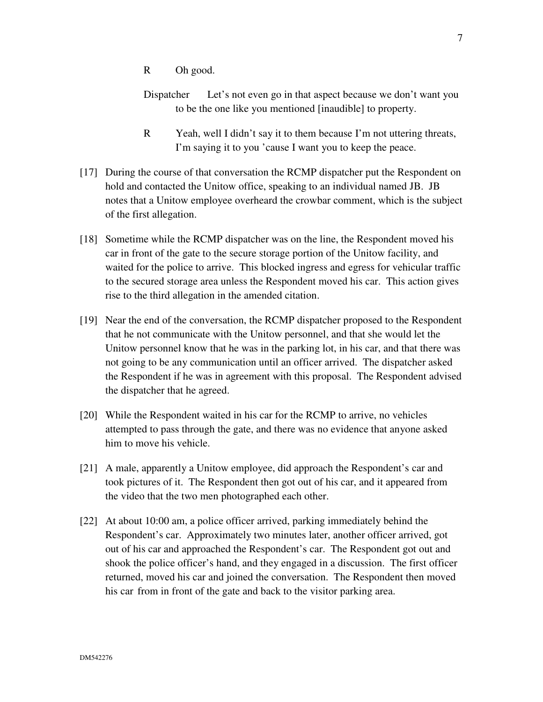- R Oh good.
- Dispatcher Let's not even go in that aspect because we don't want you to be the one like you mentioned [inaudible] to property.
- R Yeah, well I didn't say it to them because I'm not uttering threats, I'm saying it to you 'cause I want you to keep the peace.
- [17] During the course of that conversation the RCMP dispatcher put the Respondent on hold and contacted the Unitow office, speaking to an individual named JB. JB notes that a Unitow employee overheard the crowbar comment, which is the subject of the first allegation.
- [18] Sometime while the RCMP dispatcher was on the line, the Respondent moved his car in front of the gate to the secure storage portion of the Unitow facility, and waited for the police to arrive. This blocked ingress and egress for vehicular traffic to the secured storage area unless the Respondent moved his car. This action gives rise to the third allegation in the amended citation.
- [19] Near the end of the conversation, the RCMP dispatcher proposed to the Respondent that he not communicate with the Unitow personnel, and that she would let the Unitow personnel know that he was in the parking lot, in his car, and that there was not going to be any communication until an officer arrived. The dispatcher asked the Respondent if he was in agreement with this proposal. The Respondent advised the dispatcher that he agreed.
- [20] While the Respondent waited in his car for the RCMP to arrive, no vehicles attempted to pass through the gate, and there was no evidence that anyone asked him to move his vehicle.
- [21] A male, apparently a Unitow employee, did approach the Respondent's car and took pictures of it. The Respondent then got out of his car, and it appeared from the video that the two men photographed each other.
- [22] At about 10:00 am, a police officer arrived, parking immediately behind the Respondent's car. Approximately two minutes later, another officer arrived, got out of his car and approached the Respondent's car. The Respondent got out and shook the police officer's hand, and they engaged in a discussion. The first officer returned, moved his car and joined the conversation. The Respondent then moved his car from in front of the gate and back to the visitor parking area.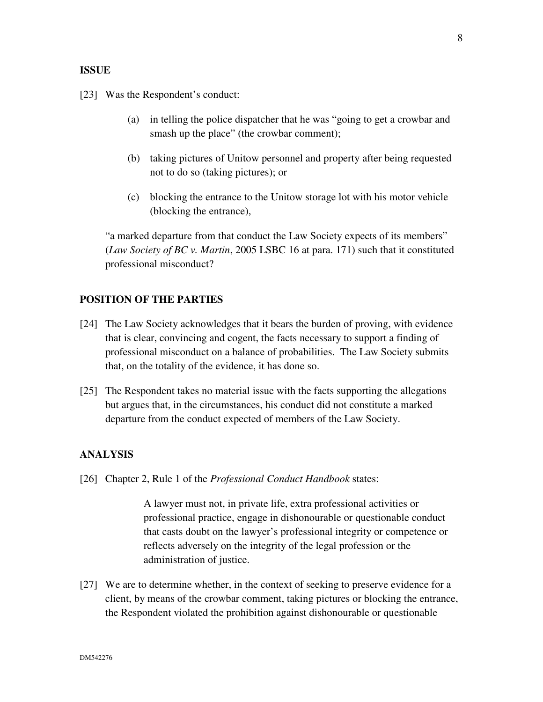### **ISSUE**

[23] Was the Respondent's conduct:

- (a) in telling the police dispatcher that he was "going to get a crowbar and smash up the place" (the crowbar comment);
- (b) taking pictures of Unitow personnel and property after being requested not to do so (taking pictures); or
- (c) blocking the entrance to the Unitow storage lot with his motor vehicle (blocking the entrance),

"a marked departure from that conduct the Law Society expects of its members" (*Law Society of BC v. Martin*, 2005 LSBC 16 at para. 171) such that it constituted professional misconduct?

## **POSITION OF THE PARTIES**

- [24] The Law Society acknowledges that it bears the burden of proving, with evidence that is clear, convincing and cogent, the facts necessary to support a finding of professional misconduct on a balance of probabilities. The Law Society submits that, on the totality of the evidence, it has done so.
- [25] The Respondent takes no material issue with the facts supporting the allegations but argues that, in the circumstances, his conduct did not constitute a marked departure from the conduct expected of members of the Law Society.

## **ANALYSIS**

[26] Chapter 2, Rule 1 of the *Professional Conduct Handbook* states:

A lawyer must not, in private life, extra professional activities or professional practice, engage in dishonourable or questionable conduct that casts doubt on the lawyer's professional integrity or competence or reflects adversely on the integrity of the legal profession or the administration of justice.

[27] We are to determine whether, in the context of seeking to preserve evidence for a client, by means of the crowbar comment, taking pictures or blocking the entrance, the Respondent violated the prohibition against dishonourable or questionable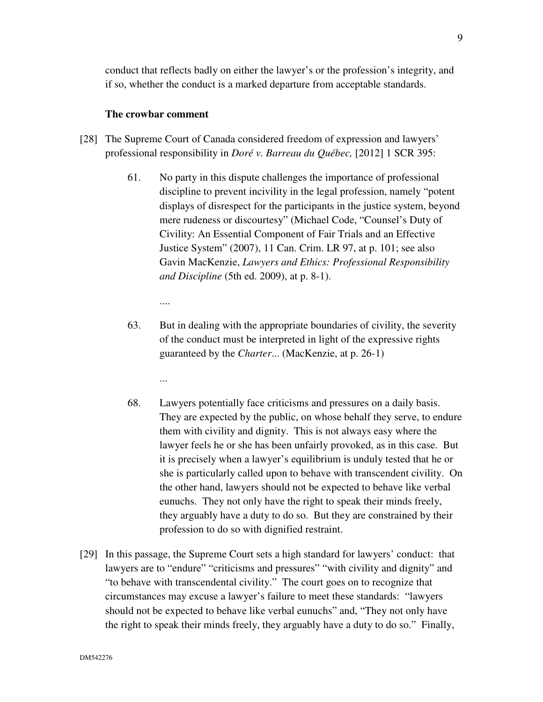conduct that reflects badly on either the lawyer's or the profession's integrity, and if so, whether the conduct is a marked departure from acceptable standards.

### **The crowbar comment**

- [28] The Supreme Court of Canada considered freedom of expression and lawyers' professional responsibility in *Doré v. Barreau du Québec,* [2012] 1 SCR 395:
	- 61. No party in this dispute challenges the importance of professional discipline to prevent incivility in the legal profession, namely "potent displays of disrespect for the participants in the justice system, beyond mere rudeness or discourtesy" (Michael Code, "Counsel's Duty of Civility: An Essential Component of Fair Trials and an Effective Justice System" (2007), 11 Can. Crim. LR 97, at p. 101; see also Gavin MacKenzie, *Lawyers and Ethics: Professional Responsibility and Discipline* (5th ed. 2009), at p. 8-1).

....

...

- 63. But in dealing with the appropriate boundaries of civility, the severity of the conduct must be interpreted in light of the expressive rights guaranteed by the *Charter*... (MacKenzie, at p. 26-1)
- 68. Lawyers potentially face criticisms and pressures on a daily basis. They are expected by the public, on whose behalf they serve, to endure them with civility and dignity. This is not always easy where the lawyer feels he or she has been unfairly provoked, as in this case. But it is precisely when a lawyer's equilibrium is unduly tested that he or she is particularly called upon to behave with transcendent civility. On the other hand, lawyers should not be expected to behave like verbal eunuchs. They not only have the right to speak their minds freely, they arguably have a duty to do so. But they are constrained by their profession to do so with dignified restraint.
- [29] In this passage, the Supreme Court sets a high standard for lawyers' conduct: that lawyers are to "endure" "criticisms and pressures" "with civility and dignity" and "to behave with transcendental civility." The court goes on to recognize that circumstances may excuse a lawyer's failure to meet these standards: "lawyers should not be expected to behave like verbal eunuchs" and, "They not only have the right to speak their minds freely, they arguably have a duty to do so." Finally,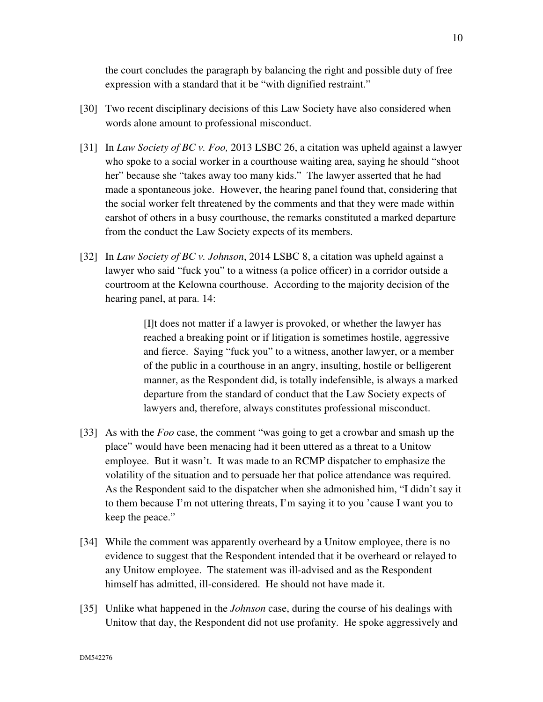the court concludes the paragraph by balancing the right and possible duty of free expression with a standard that it be "with dignified restraint."

- [30] Two recent disciplinary decisions of this Law Society have also considered when words alone amount to professional misconduct.
- [31] In *Law Society of BC v. Foo,* 2013 LSBC 26, a citation was upheld against a lawyer who spoke to a social worker in a courthouse waiting area, saying he should "shoot her" because she "takes away too many kids." The lawyer asserted that he had made a spontaneous joke. However, the hearing panel found that, considering that the social worker felt threatened by the comments and that they were made within earshot of others in a busy courthouse, the remarks constituted a marked departure from the conduct the Law Society expects of its members.
- [32] In *Law Society of BC v. Johnson*, 2014 LSBC 8, a citation was upheld against a lawyer who said "fuck you" to a witness (a police officer) in a corridor outside a courtroom at the Kelowna courthouse. According to the majority decision of the hearing panel, at para. 14:

[I]t does not matter if a lawyer is provoked, or whether the lawyer has reached a breaking point or if litigation is sometimes hostile, aggressive and fierce. Saying "fuck you" to a witness, another lawyer, or a member of the public in a courthouse in an angry, insulting, hostile or belligerent manner, as the Respondent did, is totally indefensible, is always a marked departure from the standard of conduct that the Law Society expects of lawyers and, therefore, always constitutes professional misconduct.

- [33] As with the *Foo* case, the comment "was going to get a crowbar and smash up the place" would have been menacing had it been uttered as a threat to a Unitow employee. But it wasn't. It was made to an RCMP dispatcher to emphasize the volatility of the situation and to persuade her that police attendance was required. As the Respondent said to the dispatcher when she admonished him, "I didn't say it to them because I'm not uttering threats, I'm saying it to you 'cause I want you to keep the peace."
- [34] While the comment was apparently overheard by a Unitow employee, there is no evidence to suggest that the Respondent intended that it be overheard or relayed to any Unitow employee. The statement was ill-advised and as the Respondent himself has admitted, ill-considered. He should not have made it.
- [35] Unlike what happened in the *Johnson* case, during the course of his dealings with Unitow that day, the Respondent did not use profanity. He spoke aggressively and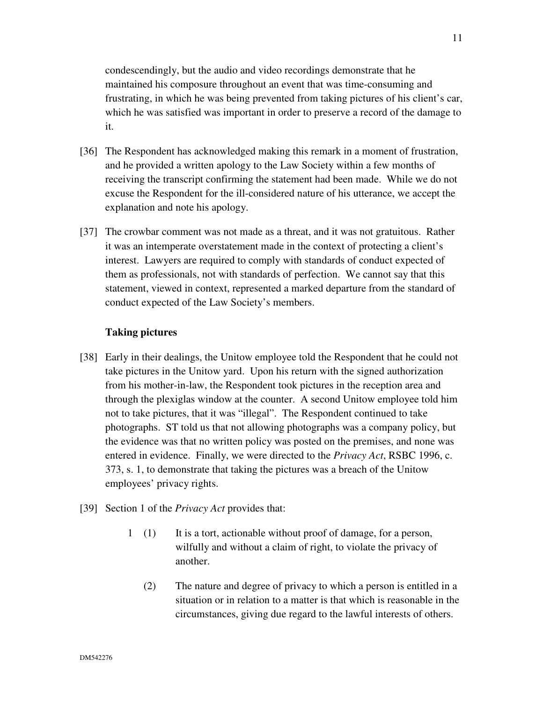condescendingly, but the audio and video recordings demonstrate that he maintained his composure throughout an event that was time-consuming and frustrating, in which he was being prevented from taking pictures of his client's car, which he was satisfied was important in order to preserve a record of the damage to it.

- [36] The Respondent has acknowledged making this remark in a moment of frustration, and he provided a written apology to the Law Society within a few months of receiving the transcript confirming the statement had been made. While we do not excuse the Respondent for the ill-considered nature of his utterance, we accept the explanation and note his apology.
- [37] The crowbar comment was not made as a threat, and it was not gratuitous. Rather it was an intemperate overstatement made in the context of protecting a client's interest. Lawyers are required to comply with standards of conduct expected of them as professionals, not with standards of perfection. We cannot say that this statement, viewed in context, represented a marked departure from the standard of conduct expected of the Law Society's members.

## **Taking pictures**

- [38] Early in their dealings, the Unitow employee told the Respondent that he could not take pictures in the Unitow yard. Upon his return with the signed authorization from his mother-in-law, the Respondent took pictures in the reception area and through the plexiglas window at the counter. A second Unitow employee told him not to take pictures, that it was "illegal". The Respondent continued to take photographs. ST told us that not allowing photographs was a company policy, but the evidence was that no written policy was posted on the premises, and none was entered in evidence. Finally, we were directed to the *Privacy Act*, RSBC 1996, c. 373, s. 1, to demonstrate that taking the pictures was a breach of the Unitow employees' privacy rights.
- [39] Section 1 of the *Privacy Act* provides that:
	- 1 (1) It is a tort, actionable without proof of damage, for a person, wilfully and without a claim of right, to violate the privacy of another.
		- (2) The nature and degree of privacy to which a person is entitled in a situation or in relation to a matter is that which is reasonable in the circumstances, giving due regard to the lawful interests of others.